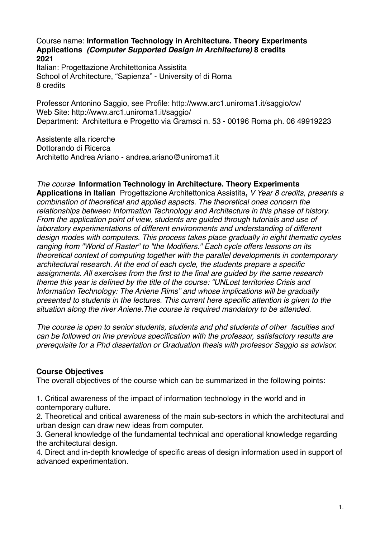Course name: **Information Technology in Architecture. Theory Experiments Applications** *(Computer Supported Design in Architecture)* **8 credits 2021**

Italian: Progettazione Architettonica Assistita School of Architecture, "Sapienza" - University of di Roma 8 credits

Professor Antonino Saggio, see Profile: http://www.arc1.uniroma1.it/saggio/cv/ Web Site: http://www.arc1.uniroma1.it/saggio/ Department: Architettura e Progetto via Gramsci n. 53 - 00196 Roma ph. 06 49919223

Assistente alla ricerche Dottorando di Ricerca Architetto Andrea Ariano - andrea.ariano@uniroma1.it

## *The course* **Information Technology in Architecture. Theory Experiments**

**Applications in Italian** Progettazione Architettonica Assistita**,** *V Year 8 credits, presents a combination of theoretical and applied aspects. The theoretical ones concern the relationships between Information Technology and Architecture in this phase of history. From the application point of view, students are guided through tutorials and use of laboratory experimentations of different environments and understanding of different design modes with computers. This process takes place gradually in eight thematic cycles ranging from "World of Raster" to "the Modifiers." Each cycle offers lessons on its theoretical context of computing together with the parallel developments in contemporary architectural research. At the end of each cycle, the students prepare a specific assignments. All exercises from the first to the final are guided by the same research theme this year is defined by the title of the course: "UNLost territories Crisis and Information Technology: The Aniene Rims" and whose implications will be gradually presented to students in the lectures. This current here specific attention is given to the situation along the river Aniene.The course is required mandatory to be attended.* 

*The course is open to senior students, students and phd students of other faculties and can be followed on line previous specification with the professor, satisfactory results are prerequisite for a Phd dissertation or Graduation thesis with professor Saggio as advisor.*

## **Course Objectives**

The overall objectives of the course which can be summarized in the following points:

1. Critical awareness of the impact of information technology in the world and in contemporary culture.

2. Theoretical and critical awareness of the main sub-sectors in which the architectural and urban design can draw new ideas from computer.

3. General knowledge of the fundamental technical and operational knowledge regarding the architectural design.

4. Direct and in-depth knowledge of specific areas of design information used in support of advanced experimentation.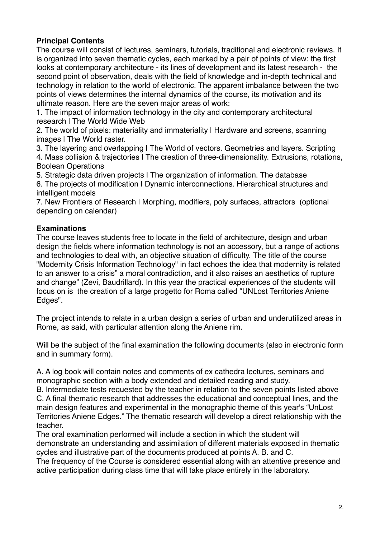# **Principal Contents**

The course will consist of lectures, seminars, tutorials, traditional and electronic reviews. It is organized into seven thematic cycles, each marked by a pair of points of view: the first looks at contemporary architecture - its lines of development and its latest research - the second point of observation, deals with the field of knowledge and in-depth technical and technology in relation to the world of electronic. The apparent imbalance between the two points of views determines the internal dynamics of the course, its motivation and its ultimate reason. Here are the seven major areas of work:

1. The impact of information technology in the city and contemporary architectural research | The World Wide Web

2. The world of pixels: materiality and immateriality | Hardware and screens, scanning images I The World raster.

3. The layering and overlapping | The World of vectors. Geometries and layers. Scripting 4. Mass collision & trajectories | The creation of three-dimensionality. Extrusions, rotations, Boolean Operations

5. Strategic data driven projects | The organization of information. The database

6. The projects of modification | Dynamic interconnections. Hierarchical structures and intelligent models

7. New Frontiers of Research | Morphing, modifiers, poly surfaces, attractors (optional depending on calendar)

## **Examinations**

The course leaves students free to locate in the field of architecture, design and urban design the fields where information technology is not an accessory, but a range of actions and technologies to deal with, an objective situation of difficulty. The title of the course "Modernity Crisis Information Technology" in fact echoes the idea that modernity is related to an answer to a crisis" a moral contradiction, and it also raises an aesthetics of rupture and change" (Zevi, Baudrillard). In this year the practical experiences of the students will focus on is the creation of a large progetto for Roma called "UNLost Territories Aniene Edges".

The project intends to relate in a urban design a series of urban and underutilized areas in Rome, as said, with particular attention along the Aniene rim.

Will be the subject of the final examination the following documents (also in electronic form and in summary form).

A. A log book will contain notes and comments of ex cathedra lectures, seminars and monographic section with a body extended and detailed reading and study.

B. Intermediate tests requested by the teacher in relation to the seven points listed above C. A final thematic research that addresses the educational and conceptual lines, and the main design features and experimental in the monographic theme of this year's "UnLost Territories Aniene Edges." The thematic research will develop a direct relationship with the teacher.

The oral examination performed will include a section in which the student will demonstrate an understanding and assimilation of different materials exposed in thematic cycles and illustrative part of the documents produced at points A. B. and C.

The frequency of the Course is considered essential along with an attentive presence and active participation during class time that will take place entirely in the laboratory.